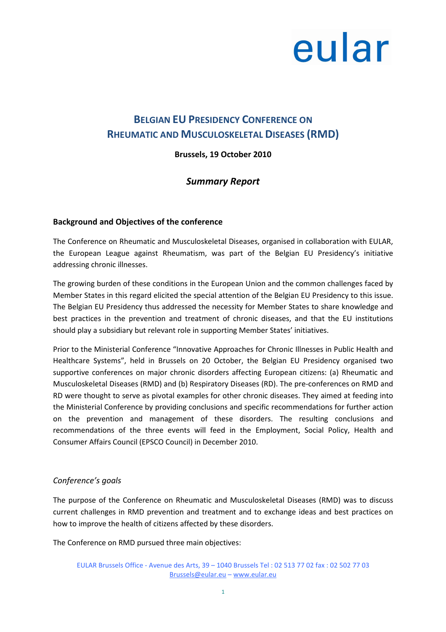### BELGIAN EU PRESIDENCY CONFERENCE ON RHEUMATIC AND MUSCULOSKELETAL DISEASES (RMD)

### Brussels, 19 October 2010

### Summary Report

### Background and Objectives of the conference

The Conference on Rheumatic and Musculoskeletal Diseases, organised in collaboration with EULAR, the European League against Rheumatism, was part of the Belgian EU Presidency's initiative addressing chronic illnesses.

The growing burden of these conditions in the European Union and the common challenges faced by Member States in this regard elicited the special attention of the Belgian EU Presidency to this issue. The Belgian EU Presidency thus addressed the necessity for Member States to share knowledge and best practices in the prevention and treatment of chronic diseases, and that the EU institutions should play a subsidiary but relevant role in supporting Member States' initiatives.

Prior to the Ministerial Conference "Innovative Approaches for Chronic Illnesses in Public Health and Healthcare Systems", held in Brussels on 20 October, the Belgian EU Presidency organised two supportive conferences on major chronic disorders affecting European citizens: (a) Rheumatic and Musculoskeletal Diseases (RMD) and (b) Respiratory Diseases (RD). The pre-conferences on RMD and RD were thought to serve as pivotal examples for other chronic diseases. They aimed at feeding into the Ministerial Conference by providing conclusions and specific recommendations for further action on the prevention and management of these disorders. The resulting conclusions and recommendations of the three events will feed in the Employment, Social Policy, Health and Consumer Affairs Council (EPSCO Council) in December 2010.

### Conference's goals

The purpose of the Conference on Rheumatic and Musculoskeletal Diseases (RMD) was to discuss current challenges in RMD prevention and treatment and to exchange ideas and best practices on how to improve the health of citizens affected by these disorders.

The Conference on RMD pursued three main objectives:

EULAR Brussels Office - Avenue des Arts, 39 – 1040 Brussels Tel : 02 513 77 02 fax : 02 502 77 03 Brussels@eular.eu – www.eular.eu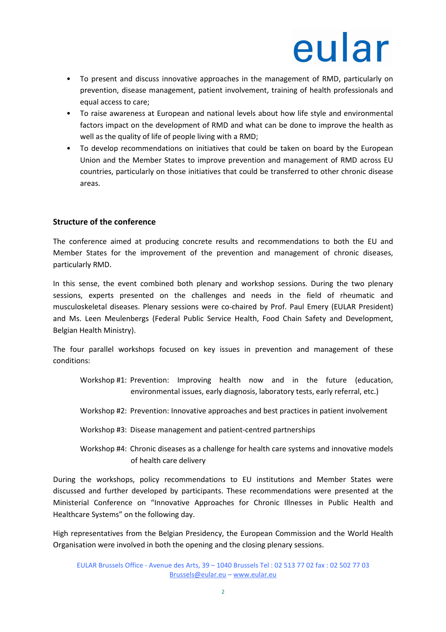- To present and discuss innovative approaches in the management of RMD, particularly on prevention, disease management, patient involvement, training of health professionals and equal access to care;
- To raise awareness at European and national levels about how life style and environmental factors impact on the development of RMD and what can be done to improve the health as well as the quality of life of people living with a RMD;
- To develop recommendations on initiatives that could be taken on board by the European Union and the Member States to improve prevention and management of RMD across EU countries, particularly on those initiatives that could be transferred to other chronic disease areas.

### Structure of the conference

The conference aimed at producing concrete results and recommendations to both the EU and Member States for the improvement of the prevention and management of chronic diseases, particularly RMD.

In this sense, the event combined both plenary and workshop sessions. During the two plenary sessions, experts presented on the challenges and needs in the field of rheumatic and musculoskeletal diseases. Plenary sessions were co-chaired by Prof. Paul Emery (EULAR President) and Ms. Leen Meulenbergs (Federal Public Service Health, Food Chain Safety and Development, Belgian Health Ministry).

The four parallel workshops focused on key issues in prevention and management of these conditions:

- Workshop #1: Prevention: Improving health now and in the future (education, environmental issues, early diagnosis, laboratory tests, early referral, etc.)
- Workshop #2: Prevention: Innovative approaches and best practices in patient involvement
- Workshop #3: Disease management and patient-centred partnerships
- Workshop #4: Chronic diseases as a challenge for health care systems and innovative models of health care delivery

During the workshops, policy recommendations to EU institutions and Member States were discussed and further developed by participants. These recommendations were presented at the Ministerial Conference on "Innovative Approaches for Chronic Illnesses in Public Health and Healthcare Systems" on the following day.

High representatives from the Belgian Presidency, the European Commission and the World Health Organisation were involved in both the opening and the closing plenary sessions.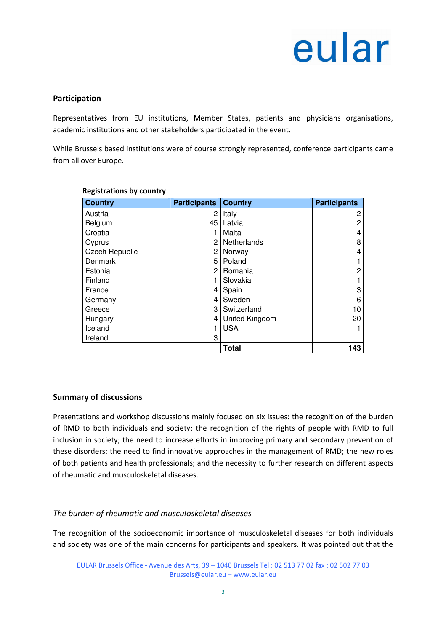### Participation

Representatives from EU institutions, Member States, patients and physicians organisations, academic institutions and other stakeholders participated in the event.

While Brussels based institutions were of course strongly represented, conference participants came from all over Europe.

| <b>Country</b>        | <b>Participants</b> | <b>Country</b> | <b>Participants</b> |
|-----------------------|---------------------|----------------|---------------------|
| Austria               | 2                   | Italy          | 2                   |
| Belgium               | 45                  | Latvia         | 2                   |
| Croatia               |                     | Malta          | 4                   |
| Cyprus                | 2                   | Netherlands    | 8                   |
| <b>Czech Republic</b> | 2                   | Norway         | 4                   |
| Denmark               | 5                   | Poland         |                     |
| Estonia               | 2                   | Romania        | 2                   |
| Finland               |                     | Slovakia       |                     |
| France                | 4                   | Spain          | 3                   |
| Germany               | 4                   | Sweden         | 6                   |
| Greece                | 3                   | Switzerland    | 10                  |
| Hungary               | 4                   | United Kingdom | 20                  |
| Iceland               |                     | <b>USA</b>     |                     |
| Ireland               | 3                   |                |                     |
|                       |                     | <b>Total</b>   | 143                 |

#### Registrations by country

### Summary of discussions

Presentations and workshop discussions mainly focused on six issues: the recognition of the burden of RMD to both individuals and society; the recognition of the rights of people with RMD to full inclusion in society; the need to increase efforts in improving primary and secondary prevention of these disorders; the need to find innovative approaches in the management of RMD; the new roles of both patients and health professionals; and the necessity to further research on different aspects of rheumatic and musculoskeletal diseases.

### The burden of rheumatic and musculoskeletal diseases

The recognition of the socioeconomic importance of musculoskeletal diseases for both individuals and society was one of the main concerns for participants and speakers. It was pointed out that the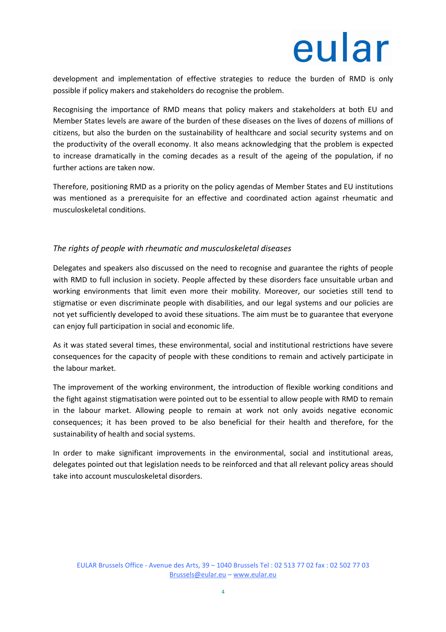development and implementation of effective strategies to reduce the burden of RMD is only possible if policy makers and stakeholders do recognise the problem.

Recognising the importance of RMD means that policy makers and stakeholders at both EU and Member States levels are aware of the burden of these diseases on the lives of dozens of millions of citizens, but also the burden on the sustainability of healthcare and social security systems and on the productivity of the overall economy. It also means acknowledging that the problem is expected to increase dramatically in the coming decades as a result of the ageing of the population, if no further actions are taken now.

Therefore, positioning RMD as a priority on the policy agendas of Member States and EU institutions was mentioned as a prerequisite for an effective and coordinated action against rheumatic and musculoskeletal conditions.

### The rights of people with rheumatic and musculoskeletal diseases

Delegates and speakers also discussed on the need to recognise and guarantee the rights of people with RMD to full inclusion in society. People affected by these disorders face unsuitable urban and working environments that limit even more their mobility. Moreover, our societies still tend to stigmatise or even discriminate people with disabilities, and our legal systems and our policies are not yet sufficiently developed to avoid these situations. The aim must be to guarantee that everyone can enjoy full participation in social and economic life.

As it was stated several times, these environmental, social and institutional restrictions have severe consequences for the capacity of people with these conditions to remain and actively participate in the labour market.

The improvement of the working environment, the introduction of flexible working conditions and the fight against stigmatisation were pointed out to be essential to allow people with RMD to remain in the labour market. Allowing people to remain at work not only avoids negative economic consequences; it has been proved to be also beneficial for their health and therefore, for the sustainability of health and social systems.

In order to make significant improvements in the environmental, social and institutional areas, delegates pointed out that legislation needs to be reinforced and that all relevant policy areas should take into account musculoskeletal disorders.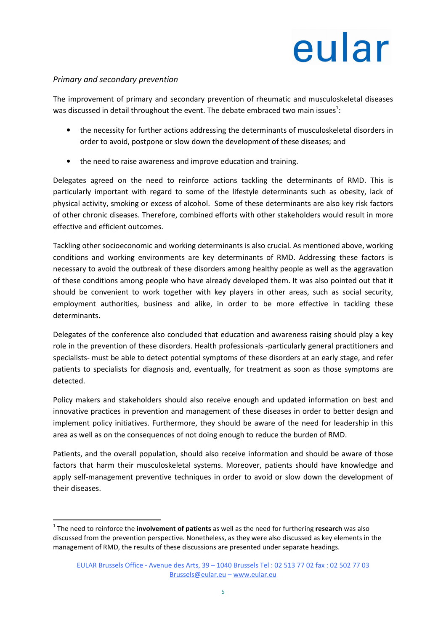### Primary and secondary prevention

l

The improvement of primary and secondary prevention of rheumatic and musculoskeletal diseases was discussed in detail throughout the event. The debate embraced two main issues<sup>1</sup>:

- the necessity for further actions addressing the determinants of musculoskeletal disorders in order to avoid, postpone or slow down the development of these diseases; and
- the need to raise awareness and improve education and training.

Delegates agreed on the need to reinforce actions tackling the determinants of RMD. This is particularly important with regard to some of the lifestyle determinants such as obesity, lack of physical activity, smoking or excess of alcohol. Some of these determinants are also key risk factors of other chronic diseases. Therefore, combined efforts with other stakeholders would result in more effective and efficient outcomes.

Tackling other socioeconomic and working determinants is also crucial. As mentioned above, working conditions and working environments are key determinants of RMD. Addressing these factors is necessary to avoid the outbreak of these disorders among healthy people as well as the aggravation of these conditions among people who have already developed them. It was also pointed out that it should be convenient to work together with key players in other areas, such as social security, employment authorities, business and alike, in order to be more effective in tackling these determinants.

Delegates of the conference also concluded that education and awareness raising should play a key role in the prevention of these disorders. Health professionals -particularly general practitioners and specialists- must be able to detect potential symptoms of these disorders at an early stage, and refer patients to specialists for diagnosis and, eventually, for treatment as soon as those symptoms are detected.

Policy makers and stakeholders should also receive enough and updated information on best and innovative practices in prevention and management of these diseases in order to better design and implement policy initiatives. Furthermore, they should be aware of the need for leadership in this area as well as on the consequences of not doing enough to reduce the burden of RMD.

Patients, and the overall population, should also receive information and should be aware of those factors that harm their musculoskeletal systems. Moreover, patients should have knowledge and apply self-management preventive techniques in order to avoid or slow down the development of their diseases.

 $1$  The need to reinforce the involvement of patients as well as the need for furthering research was also discussed from the prevention perspective. Nonetheless, as they were also discussed as key elements in the management of RMD, the results of these discussions are presented under separate headings.

EULAR Brussels Office - Avenue des Arts, 39 – 1040 Brussels Tel : 02 513 77 02 fax : 02 502 77 03 Brussels@eular.eu – www.eular.eu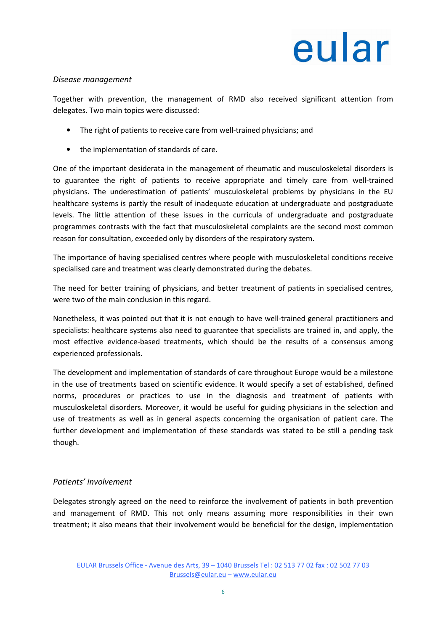### Disease management

Together with prevention, the management of RMD also received significant attention from delegates. Two main topics were discussed:

- The right of patients to receive care from well-trained physicians; and
- the implementation of standards of care.

One of the important desiderata in the management of rheumatic and musculoskeletal disorders is to guarantee the right of patients to receive appropriate and timely care from well-trained physicians. The underestimation of patients' musculoskeletal problems by physicians in the EU healthcare systems is partly the result of inadequate education at undergraduate and postgraduate levels. The little attention of these issues in the curricula of undergraduate and postgraduate programmes contrasts with the fact that musculoskeletal complaints are the second most common reason for consultation, exceeded only by disorders of the respiratory system.

The importance of having specialised centres where people with musculoskeletal conditions receive specialised care and treatment was clearly demonstrated during the debates.

The need for better training of physicians, and better treatment of patients in specialised centres, were two of the main conclusion in this regard.

Nonetheless, it was pointed out that it is not enough to have well-trained general practitioners and specialists: healthcare systems also need to guarantee that specialists are trained in, and apply, the most effective evidence-based treatments, which should be the results of a consensus among experienced professionals.

The development and implementation of standards of care throughout Europe would be a milestone in the use of treatments based on scientific evidence. It would specify a set of established, defined norms, procedures or practices to use in the diagnosis and treatment of patients with musculoskeletal disorders. Moreover, it would be useful for guiding physicians in the selection and use of treatments as well as in general aspects concerning the organisation of patient care. The further development and implementation of these standards was stated to be still a pending task though.

### Patients' involvement

Delegates strongly agreed on the need to reinforce the involvement of patients in both prevention and management of RMD. This not only means assuming more responsibilities in their own treatment; it also means that their involvement would be beneficial for the design, implementation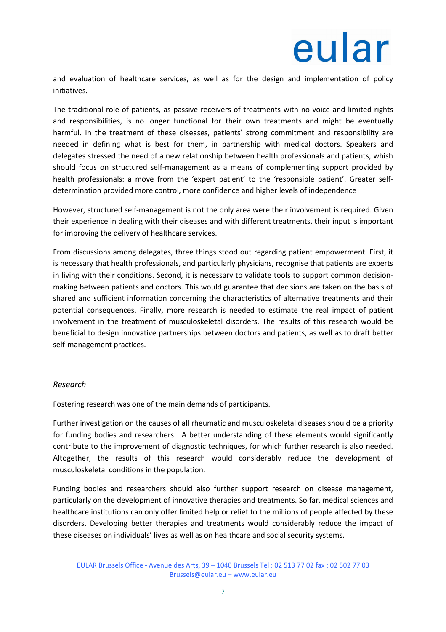and evaluation of healthcare services, as well as for the design and implementation of policy initiatives.

The traditional role of patients, as passive receivers of treatments with no voice and limited rights and responsibilities, is no longer functional for their own treatments and might be eventually harmful. In the treatment of these diseases, patients' strong commitment and responsibility are needed in defining what is best for them, in partnership with medical doctors. Speakers and delegates stressed the need of a new relationship between health professionals and patients, whish should focus on structured self-management as a means of complementing support provided by health professionals: a move from the 'expert patient' to the 'responsible patient'. Greater selfdetermination provided more control, more confidence and higher levels of independence

However, structured self-management is not the only area were their involvement is required. Given their experience in dealing with their diseases and with different treatments, their input is important for improving the delivery of healthcare services.

From discussions among delegates, three things stood out regarding patient empowerment. First, it is necessary that health professionals, and particularly physicians, recognise that patients are experts in living with their conditions. Second, it is necessary to validate tools to support common decisionmaking between patients and doctors. This would guarantee that decisions are taken on the basis of shared and sufficient information concerning the characteristics of alternative treatments and their potential consequences. Finally, more research is needed to estimate the real impact of patient involvement in the treatment of musculoskeletal disorders. The results of this research would be beneficial to design innovative partnerships between doctors and patients, as well as to draft better self-management practices.

### Research

Fostering research was one of the main demands of participants.

Further investigation on the causes of all rheumatic and musculoskeletal diseases should be a priority for funding bodies and researchers. A better understanding of these elements would significantly contribute to the improvement of diagnostic techniques, for which further research is also needed. Altogether, the results of this research would considerably reduce the development of musculoskeletal conditions in the population.

Funding bodies and researchers should also further support research on disease management, particularly on the development of innovative therapies and treatments. So far, medical sciences and healthcare institutions can only offer limited help or relief to the millions of people affected by these disorders. Developing better therapies and treatments would considerably reduce the impact of these diseases on individuals' lives as well as on healthcare and social security systems.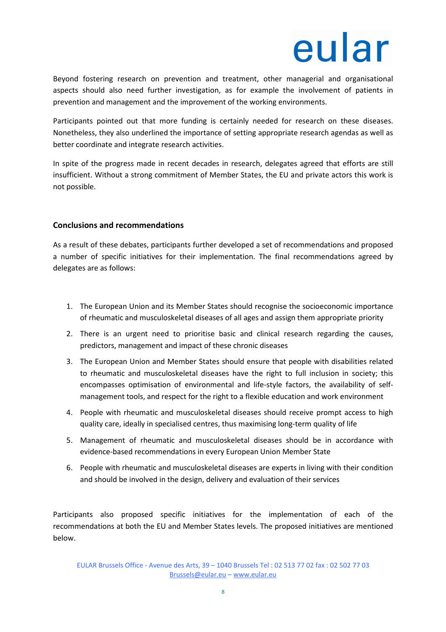Beyond fostering research on prevention and treatment, other managerial and organisational aspects should also need further investigation, as for example the involvement of patients in prevention and management and the improvement of the working environments.

Participants pointed out that more funding is certainly needed for research on these diseases. Nonetheless, they also underlined the importance of setting appropriate research agendas as well as better coordinate and integrate research activities.

In spite of the progress made in recent decades in research, delegates agreed that efforts are still insufficient. Without a strong commitment of Member States, the EU and private actors this work is not possible.

### Conclusions and recommendations

As a result of these debates, participants further developed a set of recommendations and proposed a number of specific initiatives for their implementation. The final recommendations agreed by delegates are as follows:

- 1. The European Union and its Member States should recognise the socioeconomic importance of rheumatic and musculoskeletal diseases of all ages and assign them appropriate priority
- 2. There is an urgent need to prioritise basic and clinical research regarding the causes, predictors, management and impact of these chronic diseases
- 3. The European Union and Member States should ensure that people with disabilities related to rheumatic and musculoskeletal diseases have the right to full inclusion in society; this encompasses optimisation of environmental and life-style factors, the availability of selfmanagement tools, and respect for the right to a flexible education and work environment
- 4. People with rheumatic and musculoskeletal diseases should receive prompt access to high quality care, ideally in specialised centres, thus maximising long-term quality of life
- 5. Management of rheumatic and musculoskeletal diseases should be in accordance with evidence-based recommendations in every European Union Member State
- 6. People with rheumatic and musculoskeletal diseases are experts in living with their condition and should be involved in the design, delivery and evaluation of their services

Participants also proposed specific initiatives for the implementation of each of the recommendations at both the EU and Member States levels. The proposed initiatives are mentioned below.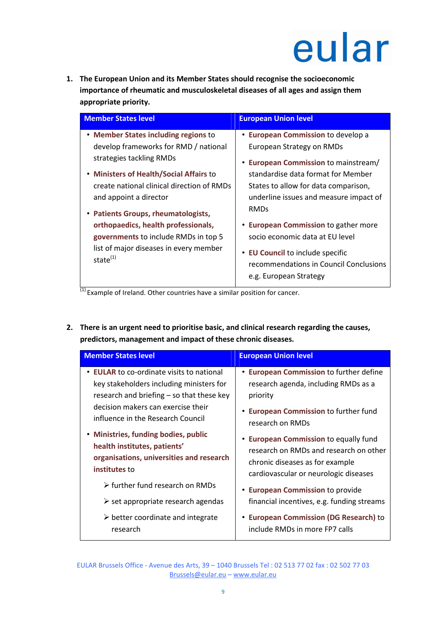1. The European Union and its Member States should recognise the socioeconomic importance of rheumatic and musculoskeletal diseases of all ages and assign them appropriate priority.

| <b>Member States level</b>                                     | <b>European Union level</b>                                                                          |  |
|----------------------------------------------------------------|------------------------------------------------------------------------------------------------------|--|
|                                                                |                                                                                                      |  |
| • Member States including regions to                           | • European Commission to develop a                                                                   |  |
| develop frameworks for RMD / national                          | European Strategy on RMDs                                                                            |  |
| strategies tackling RMDs                                       | • European Commission to mainstream/                                                                 |  |
| • Ministers of Health/Social Affairs to                        | standardise data format for Member                                                                   |  |
| create national clinical direction of RMDs                     | States to allow for data comparison,                                                                 |  |
| and appoint a director                                         | underline issues and measure impact of                                                               |  |
| • Patients Groups, rheumatologists,                            | <b>RMDs</b>                                                                                          |  |
| orthopaedics, health professionals,                            | • European Commission to gather more                                                                 |  |
| governments to include RMDs in top 5                           | socio economic data at EU level                                                                      |  |
| list of major diseases in every member<br>state <sup>(1)</sup> | • EU Council to include specific<br>recommendations in Council Conclusions<br>e.g. European Strategy |  |

 $\frac{1}{(1)}$  Example of Ireland. Other countries have a similar position for cancer.

2. There is an urgent need to prioritise basic, and clinical research regarding the causes, predictors, management and impact of these chronic diseases.

| <b>Member States level</b>                                                                                                                                                                                                                                                                                                                         | <b>European Union level</b>                                                                                                                                                                                                                        |
|----------------------------------------------------------------------------------------------------------------------------------------------------------------------------------------------------------------------------------------------------------------------------------------------------------------------------------------------------|----------------------------------------------------------------------------------------------------------------------------------------------------------------------------------------------------------------------------------------------------|
| • EULAR to co-ordinate visits to national<br>key stakeholders including ministers for<br>research and briefing – so that these key<br>decision makers can exercise their<br>influence in the Research Council<br>• Ministries, funding bodies, public<br>health institutes, patients'<br>organisations, universities and research<br>institutes to | • European Commission to further define<br>research agenda, including RMDs as a<br>priority<br><b>• European Commission to further fund</b><br>research on RMDs<br>• European Commission to equally fund<br>research on RMDs and research on other |
|                                                                                                                                                                                                                                                                                                                                                    | chronic diseases as for example<br>cardiovascular or neurologic diseases                                                                                                                                                                           |
| > further fund research on RMDs<br>$\triangleright$ set appropriate research agendas                                                                                                                                                                                                                                                               | • European Commission to provide<br>financial incentives, e.g. funding streams                                                                                                                                                                     |
| $\triangleright$ better coordinate and integrate<br>research                                                                                                                                                                                                                                                                                       | • European Commission (DG Research) to<br>include RMDs in more FP7 calls                                                                                                                                                                           |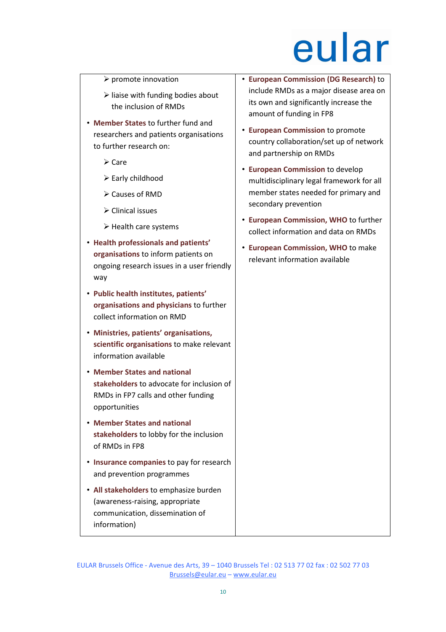- $\triangleright$  promote innovation
- $\triangleright$  liaise with funding bodies about the inclusion of RMDs
- Member States to further fund and researchers and patients organisations to further research on:
	- $\triangleright$  Care
	- $\triangleright$  Early childhood
	- $\triangleright$  Causes of RMD
	- $\triangleright$  Clinical issues
	- $\triangleright$  Health care systems
- Health professionals and patients' organisations to inform patients on ongoing research issues in a user friendly way
- Public health institutes, patients' organisations and physicians to further collect information on RMD
- Ministries, patients' organisations, scientific organisations to make relevant information available
- Member States and national stakeholders to advocate for inclusion of RMDs in FP7 calls and other funding opportunities
- Member States and national stakeholders to lobby for the inclusion of RMDs in FP8
- Insurance companies to pay for research and prevention programmes
- All stakeholders to emphasize burden (awareness-raising, appropriate communication, dissemination of information)
- European Commission (DG Research) to include RMDs as a major disease area on its own and significantly increase the amount of funding in FP8
- European Commission to promote country collaboration/set up of network and partnership on RMDs
- European Commission to develop multidisciplinary legal framework for all member states needed for primary and secondary prevention
- European Commission, WHO to further collect information and data on RMDs
- European Commission, WHO to make relevant information available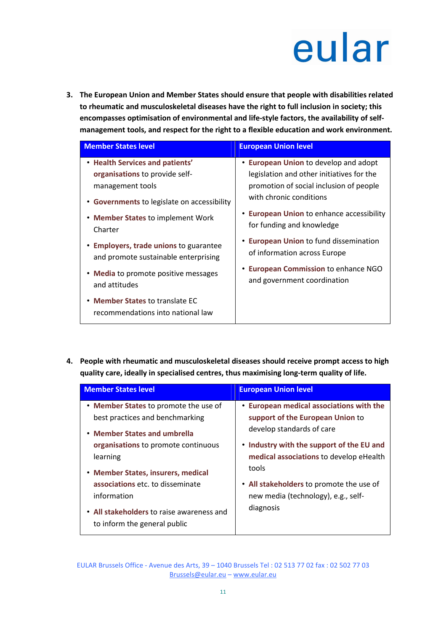3. The European Union and Member States should ensure that people with disabilities related to rheumatic and musculoskeletal diseases have the right to full inclusion in society; this encompasses optimisation of environmental and life-style factors, the availability of selfmanagement tools, and respect for the right to a flexible education and work environment.

| <b>Member States level</b>                                                                  | <b>European Union level</b>                                                                                                                              |
|---------------------------------------------------------------------------------------------|----------------------------------------------------------------------------------------------------------------------------------------------------------|
| • Health Services and patients'<br>organisations to provide self-<br>management tools       | • European Union to develop and adopt<br>legislation and other initiatives for the<br>promotion of social inclusion of people<br>with chronic conditions |
| • Governments to legislate on accessibility<br>• Member States to implement Work<br>Charter | • European Union to enhance accessibility<br>for funding and knowledge                                                                                   |
| • Employers, trade unions to guarantee<br>and promote sustainable enterprising              | • European Union to fund dissemination<br>of information across Europe                                                                                   |
| • Media to promote positive messages<br>and attitudes                                       | • European Commission to enhance NGO<br>and government coordination                                                                                      |
| • Member States to translate EC<br>recommendations into national law                        |                                                                                                                                                          |

4. People with rheumatic and musculoskeletal diseases should receive prompt access to high quality care, ideally in specialised centres, thus maximising long-term quality of life.

| <b>Member States level</b>                                                | <b>European Union level</b>               |
|---------------------------------------------------------------------------|-------------------------------------------|
| • Member States to promote the use of                                     | • European medical associations with the  |
| best practices and benchmarking                                           | support of the European Union to          |
| • Member States and umbrella                                              | develop standards of care                 |
| organisations to promote continuous                                       | • Industry with the support of the EU and |
| learning                                                                  | medical associations to develop eHealth   |
| • Member States, insurers, medical                                        | tools                                     |
| associations etc. to disseminate                                          | • All stakeholders to promote the use of  |
| information                                                               | new media (technology), e.g., self-       |
| • All stakeholders to raise awareness and<br>to inform the general public | diagnosis                                 |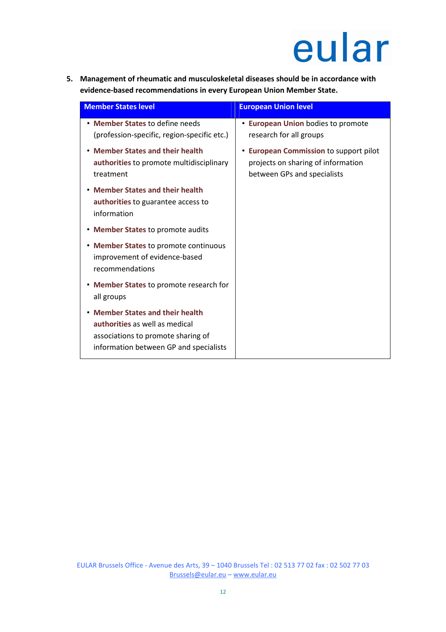5. Management of rheumatic and musculoskeletal diseases should be in accordance with evidence-based recommendations in every European Union Member State.

| <b>Member States level</b>                                                                                                                              | <b>European Union level</b>                                                                                           |
|---------------------------------------------------------------------------------------------------------------------------------------------------------|-----------------------------------------------------------------------------------------------------------------------|
| • Member States to define needs<br>(profession-specific, region-specific etc.)                                                                          | <b>• European Union bodies to promote</b><br>research for all groups                                                  |
| • Member States and their health<br>authorities to promote multidisciplinary<br>treatment                                                               | <b>European Commission to support pilot</b><br>٠<br>projects on sharing of information<br>between GPs and specialists |
| <b>Member States and their health</b><br>authorities to guarantee access to<br>information                                                              |                                                                                                                       |
| • Member States to promote audits                                                                                                                       |                                                                                                                       |
| • Member States to promote continuous<br>improvement of evidence-based<br>recommendations                                                               |                                                                                                                       |
| • Member States to promote research for<br>all groups                                                                                                   |                                                                                                                       |
| <b>Member States and their health</b><br>authorities as well as medical<br>associations to promote sharing of<br>information between GP and specialists |                                                                                                                       |